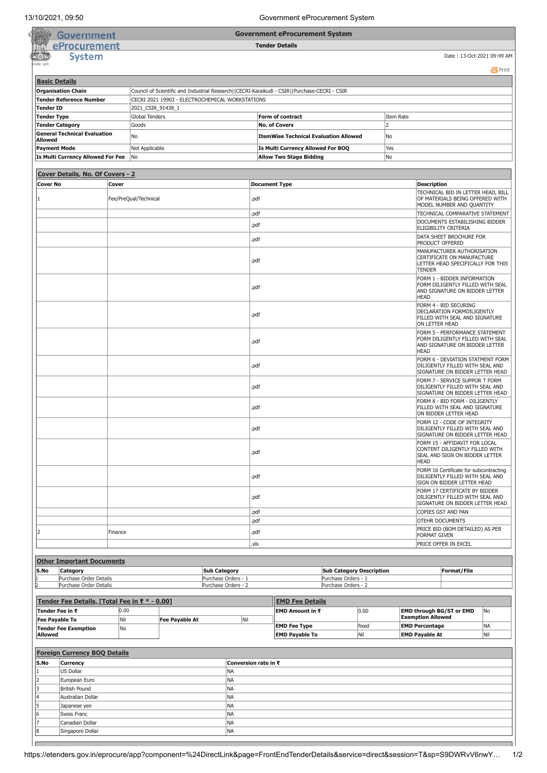**Government eProcurement System**

**Tender Details**

| overnmer |
|----------|
| urem     |
| ystem    |
|          |

Date : 13-Oct-2021 09:49 AM

|                                                                                                                           |                                                |                |                                                 |                       |                            |                      |                                          |                                                    |                                                                                                                                        |                                                                                                                  |                                                                                                        |                                                                                                                  | <b>昌</b> Print |  |
|---------------------------------------------------------------------------------------------------------------------------|------------------------------------------------|----------------|-------------------------------------------------|-----------------------|----------------------------|----------------------|------------------------------------------|----------------------------------------------------|----------------------------------------------------------------------------------------------------------------------------------------|------------------------------------------------------------------------------------------------------------------|--------------------------------------------------------------------------------------------------------|------------------------------------------------------------------------------------------------------------------|----------------|--|
|                                                                                                                           | <b>Basic Details</b>                           |                |                                                 |                       |                            |                      |                                          |                                                    |                                                                                                                                        |                                                                                                                  |                                                                                                        |                                                                                                                  |                |  |
| <b>Organisation Chain</b><br>Council of Scientific and Industrial Research  CECRI-Karaikudi - CSIR  Purchase-CECRI - CSIR |                                                |                |                                                 |                       |                            |                      |                                          |                                                    |                                                                                                                                        |                                                                                                                  |                                                                                                        |                                                                                                                  |                |  |
| <b>Tender Reference Number</b>                                                                                            |                                                |                | CECRI 2021 19903 - ELECTROCHEMICAL WORKSTATIONS |                       |                            |                      |                                          |                                                    |                                                                                                                                        |                                                                                                                  |                                                                                                        |                                                                                                                  |                |  |
| <b>Tender ID</b>                                                                                                          |                                                |                | 2021_CSIR_91438_1                               |                       |                            |                      |                                          |                                                    |                                                                                                                                        |                                                                                                                  |                                                                                                        |                                                                                                                  |                |  |
| <b>Tender Type</b>                                                                                                        |                                                |                |                                                 | <b>Global Tenders</b> |                            |                      |                                          | Form of contract                                   |                                                                                                                                        |                                                                                                                  | Item Rate                                                                                              |                                                                                                                  |                |  |
| <b>Tender Category</b><br>Goods                                                                                           |                                                |                |                                                 |                       |                            |                      | $\overline{2}$<br><b>No. of Covers</b>   |                                                    |                                                                                                                                        |                                                                                                                  |                                                                                                        |                                                                                                                  |                |  |
| <b>General Technical Evaluation</b>                                                                                       |                                                |                |                                                 |                       |                            |                      |                                          |                                                    |                                                                                                                                        |                                                                                                                  |                                                                                                        |                                                                                                                  |                |  |
| No<br>Allowed                                                                                                             |                                                |                |                                                 |                       |                            |                      |                                          | <b>ItemWise Technical Evaluation Allowed</b><br>No |                                                                                                                                        |                                                                                                                  |                                                                                                        |                                                                                                                  |                |  |
| <b>Payment Mode</b><br>Not Applicable                                                                                     |                                                |                |                                                 |                       |                            |                      | Is Multi Currency Allowed For BOQ<br>Yes |                                                    |                                                                                                                                        |                                                                                                                  |                                                                                                        |                                                                                                                  |                |  |
|                                                                                                                           | <b>Is Multi Currency Allowed For Fee</b><br>No |                |                                                 |                       |                            |                      |                                          | <b>Allow Two Stage Bidding</b>                     |                                                                                                                                        | No                                                                                                               |                                                                                                        |                                                                                                                  |                |  |
|                                                                                                                           |                                                |                |                                                 |                       |                            |                      |                                          |                                                    |                                                                                                                                        |                                                                                                                  |                                                                                                        |                                                                                                                  |                |  |
|                                                                                                                           | Cover Details, No. Of Covers - 2               |                |                                                 |                       |                            |                      |                                          |                                                    |                                                                                                                                        |                                                                                                                  |                                                                                                        |                                                                                                                  |                |  |
| <b>Cover No</b><br>Cover                                                                                                  |                                                |                |                                                 |                       |                            | <b>Document Type</b> |                                          |                                                    |                                                                                                                                        |                                                                                                                  | <b>Description</b>                                                                                     |                                                                                                                  |                |  |
|                                                                                                                           |                                                |                |                                                 |                       |                            |                      |                                          |                                                    |                                                                                                                                        |                                                                                                                  | TECHNICAL BID IN LETTER HEAD, BILL                                                                     |                                                                                                                  |                |  |
| Fee/PreQual/Technical                                                                                                     |                                                |                |                                                 |                       |                            | .pdf                 |                                          |                                                    |                                                                                                                                        |                                                                                                                  | OF MATERIALS BEING OFFERED WITH<br>MODEL NUMBER AND QUANTITY                                           |                                                                                                                  |                |  |
|                                                                                                                           |                                                |                |                                                 |                       |                            |                      |                                          |                                                    |                                                                                                                                        |                                                                                                                  | TECHNICAL COMPARATIVE STATEMENT                                                                        |                                                                                                                  |                |  |
|                                                                                                                           |                                                |                |                                                 |                       |                            |                      | .pdf                                     |                                                    |                                                                                                                                        |                                                                                                                  |                                                                                                        | DOCUMENTS ESTABILISHING BIDDER                                                                                   |                |  |
|                                                                                                                           |                                                |                |                                                 |                       |                            |                      | .pdf                                     |                                                    |                                                                                                                                        |                                                                                                                  |                                                                                                        | ELIGIBILITY CRITERIA                                                                                             |                |  |
|                                                                                                                           |                                                |                |                                                 |                       |                            |                      | .pdf                                     |                                                    |                                                                                                                                        |                                                                                                                  |                                                                                                        | DATA SHEET BROCHURE FOR                                                                                          |                |  |
|                                                                                                                           |                                                |                |                                                 |                       |                            |                      |                                          |                                                    |                                                                                                                                        |                                                                                                                  |                                                                                                        | PRODUCT OFFERED                                                                                                  |                |  |
|                                                                                                                           |                                                |                |                                                 |                       |                            |                      | .pdf                                     |                                                    |                                                                                                                                        |                                                                                                                  |                                                                                                        | MANUFACTURER AUTHORISATION<br>CERTIFICATE ON MANUFACTURE<br>LETTER HEAD SPECIFICALLY FOR THIS<br><b>TENDER</b>   |                |  |
|                                                                                                                           |                                                |                |                                                 |                       |                            |                      | .pdf                                     |                                                    |                                                                                                                                        |                                                                                                                  |                                                                                                        | FORM 1 - BIDDER INFORMATION<br>FORM DILIGENTLY FILLED WITH SEAL<br>AND SIGNATURE ON BIDDER LETTER<br><b>HEAD</b> |                |  |
|                                                                                                                           |                                                |                |                                                 |                       |                            |                      | .pdf                                     |                                                    |                                                                                                                                        |                                                                                                                  |                                                                                                        | FORM 4 - BID SECURING<br>DECLARATION FORMDILIGENTLY<br>FILLED WITH SEAL AND SIGNATURE<br>ON LETTER HEAD          |                |  |
|                                                                                                                           |                                                |                |                                                 |                       | .pdf                       |                      |                                          |                                                    | FORM 5 - PERFORMANCE STATEMENT<br>FORM DILIGENTLY FILLED WITH SEAL<br>AND SIGNATURE ON BIDDER LETTER<br><b>HEAD</b>                    |                                                                                                                  |                                                                                                        |                                                                                                                  |                |  |
|                                                                                                                           |                                                |                |                                                 |                       | .pdf                       |                      |                                          |                                                    |                                                                                                                                        |                                                                                                                  | FORM 6 - DEVIATION STATMENT FORM<br>DILIGENTLY FILLED WITH SEAL AND<br>SIGNATURE ON BIDDER LETTER HEAD |                                                                                                                  |                |  |
|                                                                                                                           |                                                |                |                                                 |                       | .pdf                       |                      |                                          |                                                    | FORM 7 - SERVICE SUPPOR T FORM<br>DILIGENTLY FILLED WITH SEAL AND<br>SIGNATURE ON BIDDER LETTER HEAD<br>FORM 8 - BID FORM - DILIGENTLY |                                                                                                                  |                                                                                                        |                                                                                                                  |                |  |
|                                                                                                                           |                                                |                |                                                 |                       | .pdf                       |                      |                                          |                                                    | FILLED WITH SEAL AND SIGNATURE<br>ON BIDDER LETTER HEAD<br>FORM 12 - CODE OF INTEGRITY                                                 |                                                                                                                  |                                                                                                        |                                                                                                                  |                |  |
|                                                                                                                           |                                                |                |                                                 |                       |                            | .pdf                 |                                          |                                                    |                                                                                                                                        |                                                                                                                  | DILIGENTLY FILLED WITH SEAL AND<br>SIGNATURE ON BIDDER LETTER HEAD                                     |                                                                                                                  |                |  |
|                                                                                                                           |                                                |                |                                                 |                       |                            | .pdf                 |                                          |                                                    |                                                                                                                                        | FORM 15 - AFFIDAVIT FOR LOCAL<br>CONTENT DILIGENTLY FILLED WITH<br>SEAL AND SIGN ON BIDDER LETTER<br><b>HEAD</b> |                                                                                                        |                                                                                                                  |                |  |
|                                                                                                                           |                                                |                |                                                 |                       |                            |                      | .pdf                                     |                                                    |                                                                                                                                        |                                                                                                                  |                                                                                                        | FORM 16 Certificate for subcontracting<br>DILIGENTLY FILLED WITH SEAL AND<br>SIGN ON BIDDER LETTER HEAD          |                |  |
|                                                                                                                           |                                                |                |                                                 |                       |                            |                      | .pdf                                     |                                                    |                                                                                                                                        |                                                                                                                  |                                                                                                        | FORM 17 CERTIFICATE BY BIDDER<br>DILIGENTLY FILLED WITH SEAL AND<br>SIGNATURE ON BIDDER LETTER HEAD              |                |  |
|                                                                                                                           |                                                |                |                                                 |                       |                            |                      | .pdf                                     |                                                    |                                                                                                                                        |                                                                                                                  |                                                                                                        | COPIES GST AND PAN                                                                                               |                |  |
|                                                                                                                           |                                                |                |                                                 |                       |                            |                      | .pdf                                     |                                                    |                                                                                                                                        |                                                                                                                  |                                                                                                        | OTEHR DOCUMENTS                                                                                                  |                |  |
| l2                                                                                                                        |                                                | Finance        |                                                 |                       |                            |                      | .pdf                                     |                                                    |                                                                                                                                        |                                                                                                                  |                                                                                                        | PRICE BID (BOM DETAILED) AS PER<br>FORMAT GIVEN                                                                  |                |  |
|                                                                                                                           |                                                |                |                                                 |                       |                            |                      | .xls                                     |                                                    |                                                                                                                                        |                                                                                                                  |                                                                                                        | PRICE OFFER IN EXCEL                                                                                             |                |  |
|                                                                                                                           |                                                |                |                                                 |                       |                            |                      |                                          |                                                    |                                                                                                                                        |                                                                                                                  |                                                                                                        |                                                                                                                  |                |  |
|                                                                                                                           | <b>Other Important Documents</b>               |                |                                                 |                       |                            |                      |                                          |                                                    |                                                                                                                                        |                                                                                                                  |                                                                                                        |                                                                                                                  |                |  |
| S.No                                                                                                                      | Category                                       |                |                                                 |                       | <b>Sub Category</b>        |                      |                                          |                                                    |                                                                                                                                        | <b>Sub Category Description</b>                                                                                  |                                                                                                        | Format/File                                                                                                      |                |  |
|                                                                                                                           | Purchase Order Details                         |                |                                                 |                       |                            | Purchase Orders - 1  |                                          |                                                    | Purchase Orders - 1                                                                                                                    |                                                                                                                  |                                                                                                        |                                                                                                                  |                |  |
|                                                                                                                           | Purchase Order Details                         |                |                                                 |                       |                            | Purchase Orders - 2  |                                          |                                                    | Purchase Orders - 2                                                                                                                    |                                                                                                                  |                                                                                                        |                                                                                                                  |                |  |
|                                                                                                                           |                                                |                |                                                 |                       |                            |                      |                                          |                                                    |                                                                                                                                        |                                                                                                                  |                                                                                                        |                                                                                                                  |                |  |
|                                                                                                                           | Tender Fee Details, [Total Fee in ₹ * - 0.00]  |                |                                                 |                       |                            |                      |                                          | <b>EMD Fee Details</b>                             |                                                                                                                                        |                                                                                                                  |                                                                                                        |                                                                                                                  |                |  |
|                                                                                                                           | Tender Fee in ₹                                | 0.00           |                                                 |                       |                            |                      |                                          | EMD Amount in ₹                                    |                                                                                                                                        | 0.00                                                                                                             |                                                                                                        | EMD through BG/ST or EMD<br><b>Exemption Allowed</b>                                                             | No             |  |
| <b>Fee Payable To</b><br>Nil<br><b>Tender Fee Exemption</b><br>No                                                         |                                                | Fee Payable At |                                                 |                       | Nil<br><b>EMD Fee Type</b> |                      |                                          | fixed                                              |                                                                                                                                        | <b>EMD Percentage</b>                                                                                            | <b>NA</b>                                                                                              |                                                                                                                  |                |  |
| Allowed                                                                                                                   |                                                |                |                                                 |                       |                            |                      |                                          | <b>EMD Payable To</b>                              |                                                                                                                                        | Nil                                                                                                              |                                                                                                        | <b>EMD Payable At</b>                                                                                            | Nil            |  |
|                                                                                                                           |                                                |                |                                                 |                       |                            |                      |                                          |                                                    |                                                                                                                                        |                                                                                                                  |                                                                                                        |                                                                                                                  |                |  |
|                                                                                                                           | <b>Foreign Currency BOQ Details</b>            |                |                                                 |                       |                            |                      |                                          |                                                    |                                                                                                                                        |                                                                                                                  |                                                                                                        |                                                                                                                  |                |  |
| S.No                                                                                                                      | Currency                                       |                |                                                 |                       |                            |                      | Conversion rate in ₹                     |                                                    |                                                                                                                                        |                                                                                                                  |                                                                                                        |                                                                                                                  |                |  |
| NA<br>US Dollar<br>1                                                                                                      |                                                |                |                                                 |                       |                            |                      |                                          |                                                    |                                                                                                                                        |                                                                                                                  |                                                                                                        |                                                                                                                  |                |  |
| $\overline{2}$<br>European Euro                                                                                           |                                                |                |                                                 | NA                    |                            |                      |                                          |                                                    |                                                                                                                                        |                                                                                                                  |                                                                                                        |                                                                                                                  |                |  |
| 3<br><b>British Pound</b>                                                                                                 |                                                |                |                                                 | NA                    |                            |                      |                                          |                                                    |                                                                                                                                        |                                                                                                                  |                                                                                                        |                                                                                                                  |                |  |
| 4                                                                                                                         | Australian Dollar                              |                |                                                 |                       |                            | NA                   |                                          |                                                    |                                                                                                                                        |                                                                                                                  |                                                                                                        |                                                                                                                  |                |  |
| 5<br>Japanese yen                                                                                                         |                                                |                |                                                 |                       | NA                         |                      |                                          |                                                    |                                                                                                                                        |                                                                                                                  |                                                                                                        |                                                                                                                  |                |  |
| 6                                                                                                                         | Swiss Franc                                    |                |                                                 |                       |                            | <b>NA</b>            |                                          |                                                    |                                                                                                                                        |                                                                                                                  |                                                                                                        |                                                                                                                  |                |  |
|                                                                                                                           | Canadian Dollar                                |                |                                                 |                       |                            | NA                   |                                          |                                                    |                                                                                                                                        |                                                                                                                  |                                                                                                        |                                                                                                                  |                |  |
| Singapore Dollar                                                                                                          |                                                |                |                                                 |                       | NA                         |                      |                                          |                                                    |                                                                                                                                        |                                                                                                                  |                                                                                                        |                                                                                                                  |                |  |